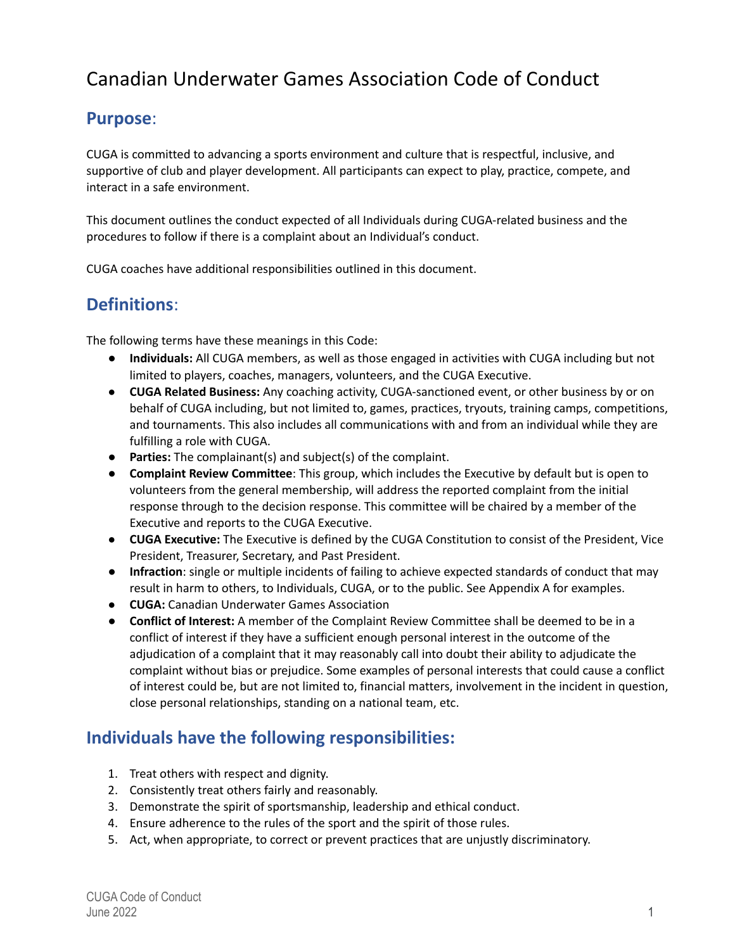# Canadian Underwater Games Association Code of Conduct

### **Purpose**:

CUGA is committed to advancing a sports environment and culture that is respectful, inclusive, and supportive of club and player development. All participants can expect to play, practice, compete, and interact in a safe environment.

This document outlines the conduct expected of all Individuals during CUGA-related business and the procedures to follow if there is a complaint about an Individual's conduct.

CUGA coaches have additional responsibilities outlined in this document.

### **Definitions**:

The following terms have these meanings in this Code:

- **Individuals:** All CUGA members, as well as those engaged in activities with CUGA including but not limited to players, coaches, managers, volunteers, and the CUGA Executive.
- **CUGA Related Business:** Any coaching activity, CUGA-sanctioned event, or other business by or on behalf of CUGA including, but not limited to, games, practices, tryouts, training camps, competitions, and tournaments. This also includes all communications with and from an individual while they are fulfilling a role with CUGA.
- **● Parties:** The complainant(s) and subject(s) of the complaint.
- **Complaint Review Committee**: This group, which includes the Executive by default but is open to volunteers from the general membership, will address the reported complaint from the initial response through to the decision response. This committee will be chaired by a member of the Executive and reports to the CUGA Executive.
- **CUGA Executive:** The Executive is defined by the CUGA Constitution to consist of the President, Vice President, Treasurer, Secretary, and Past President.
- **Infraction**: single or multiple incidents of failing to achieve expected standards of conduct that may result in harm to others, to Individuals, CUGA, or to the public. See Appendix A for examples.
- **CUGA:** Canadian Underwater Games Association
- **● Conflict of Interest:** A member of the Complaint Review Committee shall be deemed to be in a conflict of interest if they have a sufficient enough personal interest in the outcome of the adjudication of a complaint that it may reasonably call into doubt their ability to adjudicate the complaint without bias or prejudice. Some examples of personal interests that could cause a conflict of interest could be, but are not limited to, financial matters, involvement in the incident in question, close personal relationships, standing on a national team, etc.

### **Individuals have the following responsibilities:**

- 1. Treat others with respect and dignity.
- 2. Consistently treat others fairly and reasonably.
- 3. Demonstrate the spirit of sportsmanship, leadership and ethical conduct.
- 4. Ensure adherence to the rules of the sport and the spirit of those rules.
- 5. Act, when appropriate, to correct or prevent practices that are unjustly discriminatory.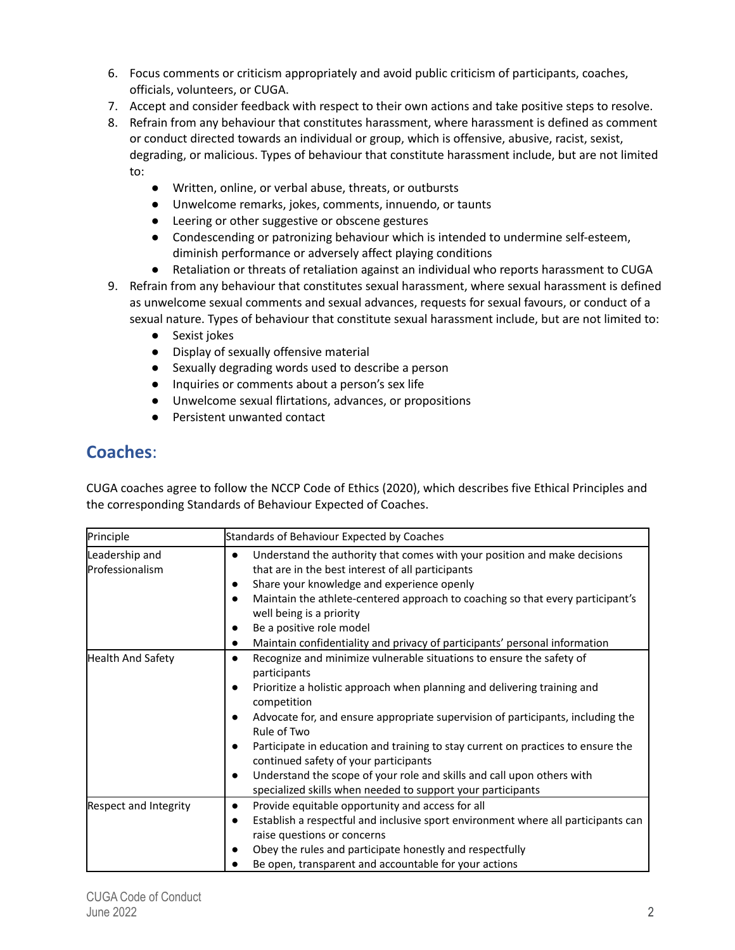- 6. Focus comments or criticism appropriately and avoid public criticism of participants, coaches, officials, volunteers, or CUGA.
- 7. Accept and consider feedback with respect to their own actions and take positive steps to resolve.
- 8. Refrain from any behaviour that constitutes harassment, where harassment is defined as comment or conduct directed towards an individual or group, which is offensive, abusive, racist, sexist, degrading, or malicious. Types of behaviour that constitute harassment include, but are not limited to:
	- Written, online, or verbal abuse, threats, or outbursts
	- Unwelcome remarks, jokes, comments, innuendo, or taunts
	- Leering or other suggestive or obscene gestures
	- Condescending or patronizing behaviour which is intended to undermine self-esteem, diminish performance or adversely affect playing conditions
	- Retaliation or threats of retaliation against an individual who reports harassment to CUGA
- 9. Refrain from any behaviour that constitutes sexual harassment, where sexual harassment is defined as unwelcome sexual comments and sexual advances, requests for sexual favours, or conduct of a sexual nature. Types of behaviour that constitute sexual harassment include, but are not limited to:
	- Sexist jokes
	- Display of sexually offensive material
	- Sexually degrading words used to describe a person
	- Inquiries or comments about a person's sex life
	- Unwelcome sexual flirtations, advances, or propositions
	- Persistent unwanted contact

### **Coaches**:

CUGA coaches agree to follow the NCCP Code of Ethics (2020), which describes five Ethical Principles and the corresponding Standards of Behaviour Expected of Coaches.

| Principle                         | Standards of Behaviour Expected by Coaches                                                                                                                                                                                                                                                                                                                                                                                                                                                                                                                           |
|-----------------------------------|----------------------------------------------------------------------------------------------------------------------------------------------------------------------------------------------------------------------------------------------------------------------------------------------------------------------------------------------------------------------------------------------------------------------------------------------------------------------------------------------------------------------------------------------------------------------|
| Leadership and<br>Professionalism | Understand the authority that comes with your position and make decisions<br>$\bullet$<br>that are in the best interest of all participants<br>Share your knowledge and experience openly<br>Maintain the athlete-centered approach to coaching so that every participant's<br>$\bullet$<br>well being is a priority<br>Be a positive role model<br>Maintain confidentiality and privacy of participants' personal information                                                                                                                                       |
| <b>Health And Safety</b>          | Recognize and minimize vulnerable situations to ensure the safety of<br>$\bullet$<br>participants<br>Prioritize a holistic approach when planning and delivering training and<br>competition<br>Advocate for, and ensure appropriate supervision of participants, including the<br>Rule of Two<br>Participate in education and training to stay current on practices to ensure the<br>continued safety of your participants<br>Understand the scope of your role and skills and call upon others with<br>specialized skills when needed to support your participants |
| <b>Respect and Integrity</b>      | Provide equitable opportunity and access for all<br>$\bullet$<br>Establish a respectful and inclusive sport environment where all participants can<br>raise questions or concerns<br>Obey the rules and participate honestly and respectfully<br>Be open, transparent and accountable for your actions                                                                                                                                                                                                                                                               |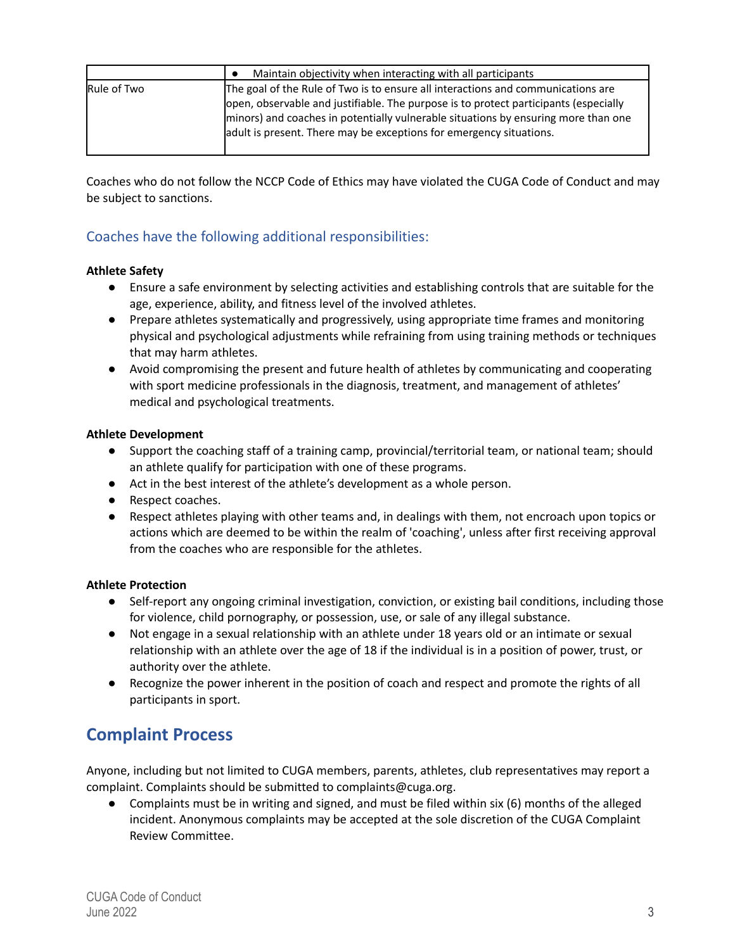|             | Maintain objectivity when interacting with all participants                          |
|-------------|--------------------------------------------------------------------------------------|
| Rule of Two | The goal of the Rule of Two is to ensure all interactions and communications are     |
|             | open, observable and justifiable. The purpose is to protect participants (especially |
|             | minors) and coaches in potentially vulnerable situations by ensuring more than one   |
|             | adult is present. There may be exceptions for emergency situations.                  |
|             |                                                                                      |

Coaches who do not follow the NCCP Code of Ethics may have violated the CUGA Code of Conduct and may be subject to sanctions.

### Coaches have the following additional responsibilities:

#### **Athlete Safety**

- Ensure a safe environment by selecting activities and establishing controls that are suitable for the age, experience, ability, and fitness level of the involved athletes.
- Prepare athletes systematically and progressively, using appropriate time frames and monitoring physical and psychological adjustments while refraining from using training methods or techniques that may harm athletes.
- Avoid compromising the present and future health of athletes by communicating and cooperating with sport medicine professionals in the diagnosis, treatment, and management of athletes' medical and psychological treatments.

#### **Athlete Development**

- Support the coaching staff of a training camp, provincial/territorial team, or national team; should an athlete qualify for participation with one of these programs.
- Act in the best interest of the athlete's development as a whole person.
- Respect coaches.
- Respect athletes playing with other teams and, in dealings with them, not encroach upon topics or actions which are deemed to be within the realm of 'coaching', unless after first receiving approval from the coaches who are responsible for the athletes.

#### **Athlete Protection**

- Self-report any ongoing criminal investigation, conviction, or existing bail conditions, including those for violence, child pornography, or possession, use, or sale of any illegal substance.
- Not engage in a sexual relationship with an athlete under 18 years old or an intimate or sexual relationship with an athlete over the age of 18 if the individual is in a position of power, trust, or authority over the athlete.
- Recognize the power inherent in the position of coach and respect and promote the rights of all participants in sport.

### **Complaint Process**

Anyone, including but not limited to CUGA members, parents, athletes, club representatives may report a complaint. Complaints should be submitted to complaints@cuga.org.

● Complaints must be in writing and signed, and must be filed within six (6) months of the alleged incident. Anonymous complaints may be accepted at the sole discretion of the CUGA Complaint Review Committee.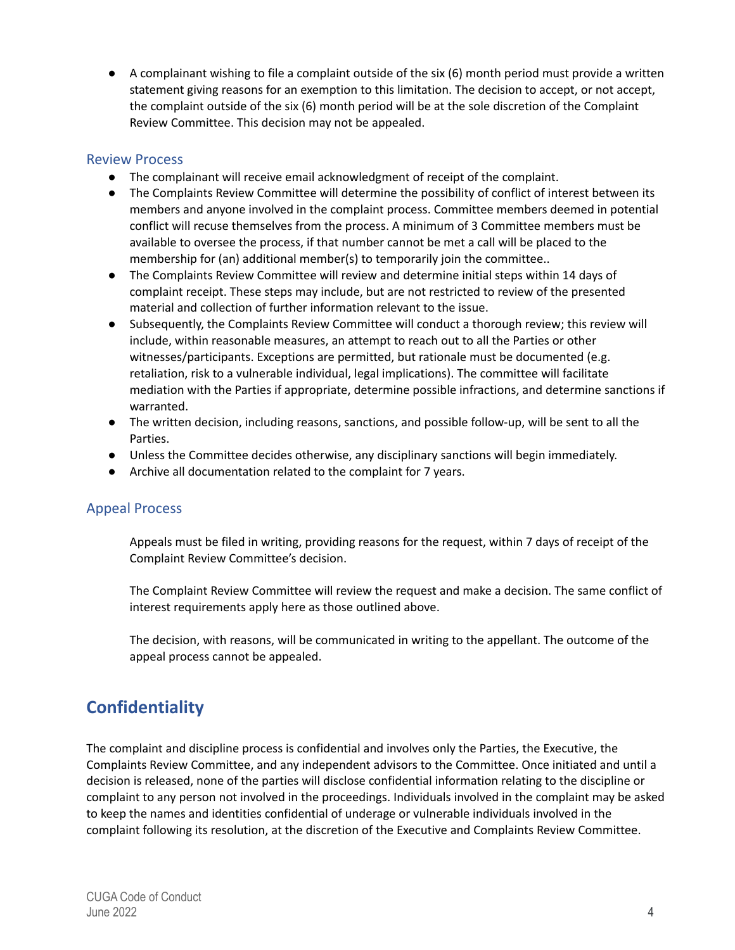● A complainant wishing to file a complaint outside of the six (6) month period must provide a written statement giving reasons for an exemption to this limitation. The decision to accept, or not accept, the complaint outside of the six (6) month period will be at the sole discretion of the Complaint Review Committee. This decision may not be appealed.

#### Review Process

- The complainant will receive email acknowledgment of receipt of the complaint.
- The Complaints Review Committee will determine the possibility of conflict of interest between its members and anyone involved in the complaint process. Committee members deemed in potential conflict will recuse themselves from the process. A minimum of 3 Committee members must be available to oversee the process, if that number cannot be met a call will be placed to the membership for (an) additional member(s) to temporarily join the committee..
- The Complaints Review Committee will review and determine initial steps within 14 days of complaint receipt. These steps may include, but are not restricted to review of the presented material and collection of further information relevant to the issue.
- Subsequently, the Complaints Review Committee will conduct a thorough review; this review will include, within reasonable measures, an attempt to reach out to all the Parties or other witnesses/participants. Exceptions are permitted, but rationale must be documented (e.g. retaliation, risk to a vulnerable individual, legal implications). The committee will facilitate mediation with the Parties if appropriate, determine possible infractions, and determine sanctions if warranted.
- The written decision, including reasons, sanctions, and possible follow-up, will be sent to all the Parties.
- Unless the Committee decides otherwise, any disciplinary sanctions will begin immediately.
- Archive all documentation related to the complaint for 7 years.

#### Appeal Process

Appeals must be filed in writing, providing reasons for the request, within 7 days of receipt of the Complaint Review Committee's decision.

The Complaint Review Committee will review the request and make a decision. The same conflict of interest requirements apply here as those outlined above.

The decision, with reasons, will be communicated in writing to the appellant. The outcome of the appeal process cannot be appealed.

## **Confidentiality**

The complaint and discipline process is confidential and involves only the Parties, the Executive, the Complaints Review Committee, and any independent advisors to the Committee. Once initiated and until a decision is released, none of the parties will disclose confidential information relating to the discipline or complaint to any person not involved in the proceedings. Individuals involved in the complaint may be asked to keep the names and identities confidential of underage or vulnerable individuals involved in the complaint following its resolution, at the discretion of the Executive and Complaints Review Committee.